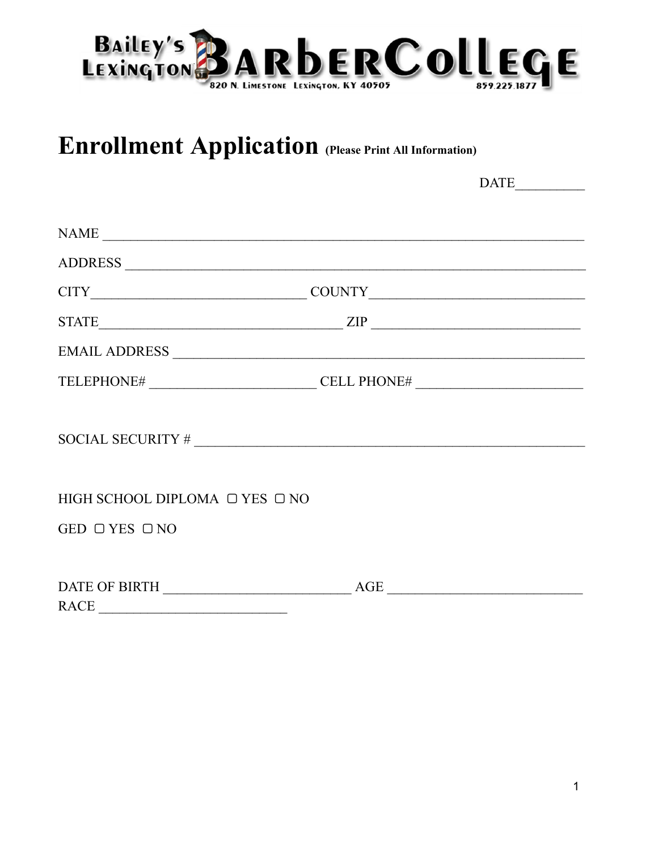

## **Enrollment Application (Please Print All Information)**

 $\begin{tabular}{|c|c|} \hline \multicolumn{3}{|c|}{\textbf{DATE}} \end{tabular}$ 

| NAME                                                                                          |                                                                                  |
|-----------------------------------------------------------------------------------------------|----------------------------------------------------------------------------------|
|                                                                                               |                                                                                  |
|                                                                                               |                                                                                  |
|                                                                                               |                                                                                  |
|                                                                                               |                                                                                  |
|                                                                                               | TELEPHONE# _______________________________CELL PHONE# __________________________ |
| SOCIAL SECURITY # $\frac{1}{\sqrt{1-\frac{1}{2}}$                                             |                                                                                  |
| HIGH SCHOOL DIPLOMA O YES ONO                                                                 |                                                                                  |
| GED $\Box$ YES $\Box$ NO                                                                      |                                                                                  |
|                                                                                               |                                                                                  |
|                                                                                               | AGE                                                                              |
| $\text{RACE} \begin{tabular}{ c c c } \hline \multicolumn{3}{ c }{\text{RACE}} \end{tabular}$ |                                                                                  |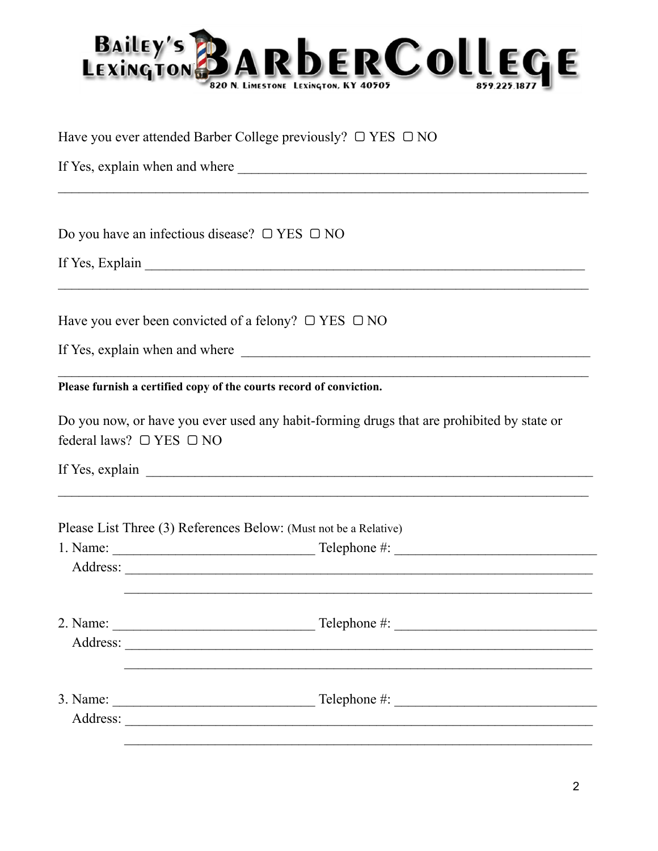

Have you ever attended Barber College previously?  $\Box$  YES  $\Box$  NO

Do you have an infectious disease?  $\Box$  YES  $\Box$  NO

If Yes, Explain 1997 and 1997 and 1997 and 1997 and 1998 and 1997 and 1998 and 1998 and 1998 and 1999 and 1999 and 1999 and 1999 and 1999 and 1999 and 1999 and 1999 and 1999 and 1999 and 1999 and 1999 and 1999 and 1999 and

Have you ever been convicted of a felony?  $\Box$  YES  $\Box$  NO

Please furnish a certified copy of the courts record of conviction.

| Do you now, or have you ever used any habit-forming drugs that are prohibited by state or |  |  |  |
|-------------------------------------------------------------------------------------------|--|--|--|
| federal laws? $\Box$ YES $\Box$ NO                                                        |  |  |  |

If Yes, explain

Please List Three (3) References Below: (Must not be a Relative)

| 1. Name: | Telephone $\#$ :                                 |  |
|----------|--------------------------------------------------|--|
| Address: |                                                  |  |
|          |                                                  |  |
| 2. Name: | $\text{Telephone} \#:\underline{\hspace{2.5cm}}$ |  |
| Address: |                                                  |  |
|          |                                                  |  |
| 3. Name: | Telephone $\#$ :                                 |  |
| Address: |                                                  |  |
|          |                                                  |  |